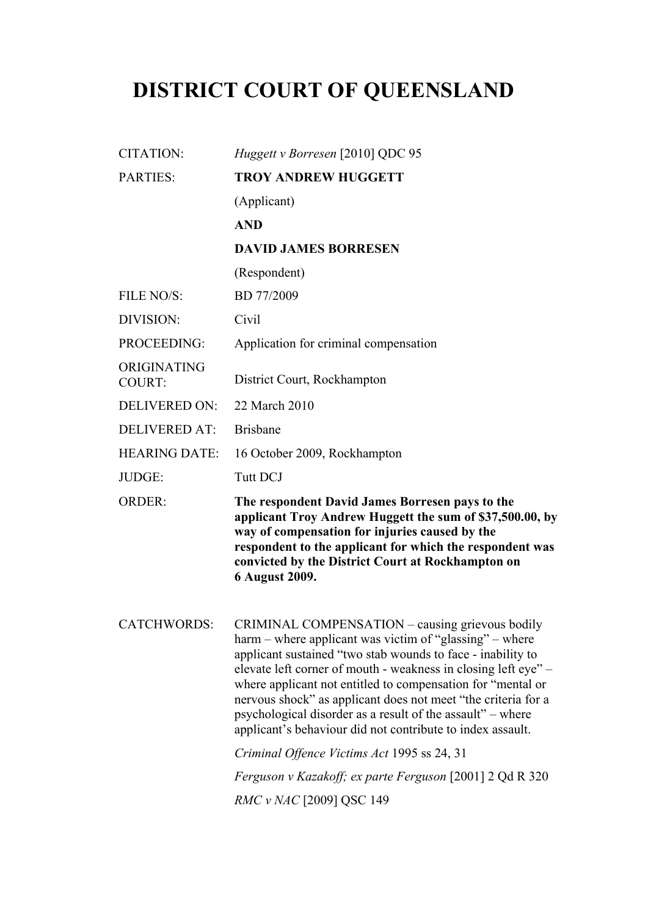# **DISTRICT COURT OF QUEENSLAND**

| <b>CITATION:</b>             | Huggett v Borresen [2010] QDC 95                                                                                                                                                                                                                                                                                                                                                                                                                                                                                                                                                                                                                      |
|------------------------------|-------------------------------------------------------------------------------------------------------------------------------------------------------------------------------------------------------------------------------------------------------------------------------------------------------------------------------------------------------------------------------------------------------------------------------------------------------------------------------------------------------------------------------------------------------------------------------------------------------------------------------------------------------|
| <b>PARTIES:</b>              | <b>TROY ANDREW HUGGETT</b>                                                                                                                                                                                                                                                                                                                                                                                                                                                                                                                                                                                                                            |
|                              | (Applicant)                                                                                                                                                                                                                                                                                                                                                                                                                                                                                                                                                                                                                                           |
|                              | <b>AND</b>                                                                                                                                                                                                                                                                                                                                                                                                                                                                                                                                                                                                                                            |
|                              | <b>DAVID JAMES BORRESEN</b>                                                                                                                                                                                                                                                                                                                                                                                                                                                                                                                                                                                                                           |
|                              | (Respondent)                                                                                                                                                                                                                                                                                                                                                                                                                                                                                                                                                                                                                                          |
| FILE NO/S:                   | BD 77/2009                                                                                                                                                                                                                                                                                                                                                                                                                                                                                                                                                                                                                                            |
| DIVISION:                    | Civil                                                                                                                                                                                                                                                                                                                                                                                                                                                                                                                                                                                                                                                 |
| PROCEEDING:                  | Application for criminal compensation                                                                                                                                                                                                                                                                                                                                                                                                                                                                                                                                                                                                                 |
| ORIGINATING<br><b>COURT:</b> | District Court, Rockhampton                                                                                                                                                                                                                                                                                                                                                                                                                                                                                                                                                                                                                           |
| <b>DELIVERED ON:</b>         | 22 March 2010                                                                                                                                                                                                                                                                                                                                                                                                                                                                                                                                                                                                                                         |
| <b>DELIVERED AT:</b>         | <b>Brisbane</b>                                                                                                                                                                                                                                                                                                                                                                                                                                                                                                                                                                                                                                       |
| <b>HEARING DATE:</b>         | 16 October 2009, Rockhampton                                                                                                                                                                                                                                                                                                                                                                                                                                                                                                                                                                                                                          |
| JUDGE:                       | <b>Tutt DCJ</b>                                                                                                                                                                                                                                                                                                                                                                                                                                                                                                                                                                                                                                       |
| <b>ORDER:</b>                | The respondent David James Borresen pays to the<br>applicant Troy Andrew Huggett the sum of \$37,500.00, by                                                                                                                                                                                                                                                                                                                                                                                                                                                                                                                                           |
|                              | way of compensation for injuries caused by the<br>respondent to the applicant for which the respondent was<br>convicted by the District Court at Rockhampton on<br>6 August 2009.                                                                                                                                                                                                                                                                                                                                                                                                                                                                     |
| <b>CATCHWORDS:</b>           | CRIMINAL COMPENSATION - causing grievous bodily<br>harm – where applicant was victim of "glassing" – where<br>applicant sustained "two stab wounds to face - inability to<br>elevate left corner of mouth - weakness in closing left eye" –<br>where applicant not entitled to compensation for "mental or<br>nervous shock" as applicant does not meet "the criteria for a<br>psychological disorder as a result of the assault" – where<br>applicant's behaviour did not contribute to index assault.<br>Criminal Offence Victims Act 1995 ss 24, 31<br>Ferguson v Kazakoff; ex parte Ferguson [2001] 2 Qd R 320<br><i>RMC v NAC</i> [2009] QSC 149 |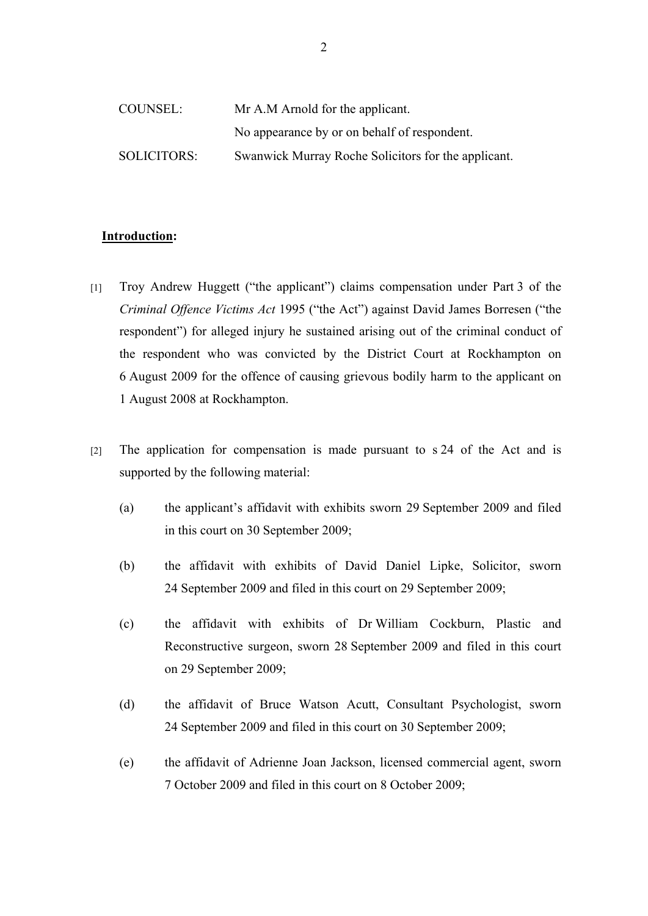| COUNSEL:           | Mr A.M Arnold for the applicant.                    |
|--------------------|-----------------------------------------------------|
|                    | No appearance by or on behalf of respondent.        |
| <b>SOLICITORS:</b> | Swanwick Murray Roche Solicitors for the applicant. |

#### **Introduction:**

- [1] Troy Andrew Huggett ("the applicant") claims compensation under Part 3 of the *Criminal Offence Victims Act* 1995 ("the Act") against David James Borresen ("the respondent") for alleged injury he sustained arising out of the criminal conduct of the respondent who was convicted by the District Court at Rockhampton on 6 August 2009 for the offence of causing grievous bodily harm to the applicant on 1 August 2008 at Rockhampton.
- [2] The application for compensation is made pursuant to s 24 of the Act and is supported by the following material:
	- (a) the applicant's affidavit with exhibits sworn 29 September 2009 and filed in this court on 30 September 2009;
	- (b) the affidavit with exhibits of David Daniel Lipke, Solicitor, sworn 24 September 2009 and filed in this court on 29 September 2009;
	- (c) the affidavit with exhibits of Dr William Cockburn, Plastic and Reconstructive surgeon, sworn 28 September 2009 and filed in this court on 29 September 2009;
	- (d) the affidavit of Bruce Watson Acutt, Consultant Psychologist, sworn 24 September 2009 and filed in this court on 30 September 2009;
	- (e) the affidavit of Adrienne Joan Jackson, licensed commercial agent, sworn 7 October 2009 and filed in this court on 8 October 2009;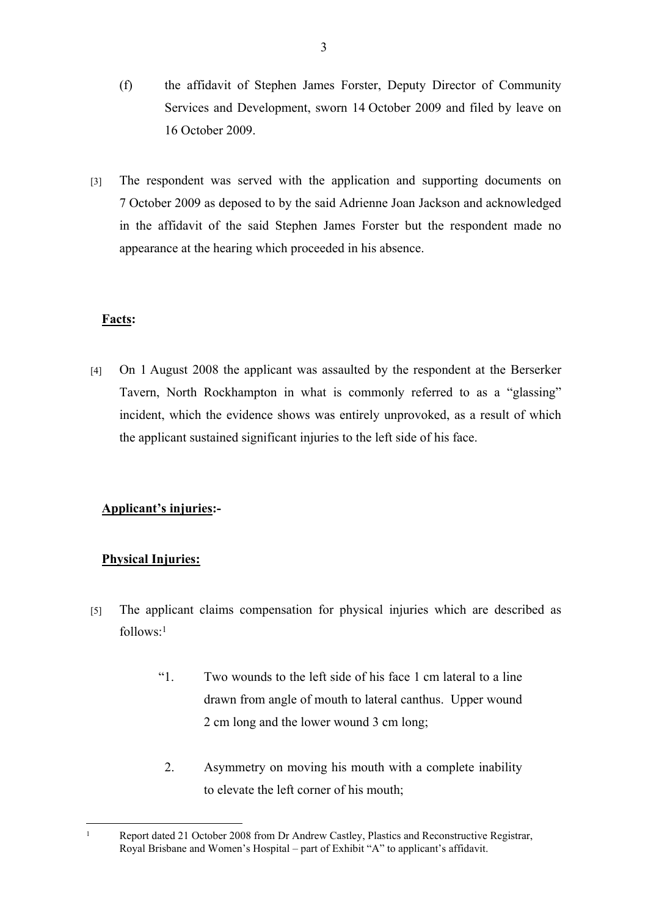- (f) the affidavit of Stephen James Forster, Deputy Director of Community Services and Development, sworn 14 October 2009 and filed by leave on 16 October 2009.
- [3] The respondent was served with the application and supporting documents on 7 October 2009 as deposed to by the said Adrienne Joan Jackson and acknowledged in the affidavit of the said Stephen James Forster but the respondent made no appearance at the hearing which proceeded in his absence.

# **Facts:**

[4] On 1 August 2008 the applicant was assaulted by the respondent at the Berserker Tavern, North Rockhampton in what is commonly referred to as a "glassing" incident, which the evidence shows was entirely unprovoked, as a result of which the applicant sustained significant injuries to the left side of his face.

# **Applicant's injuries:-**

# **Physical Injuries:**

- [5] The applicant claims compensation for physical injuries which are described as  $follows<sup>1</sup>$ 
	- "1. Two wounds to the left side of his face 1 cm lateral to a line drawn from angle of mouth to lateral canthus. Upper wound 2 cm long and the lower wound 3 cm long;
		- 2. Asymmetry on moving his mouth with a complete inability to elevate the left corner of his mouth;

<sup>1</sup> Report dated 21 October 2008 from Dr Andrew Castley, Plastics and Reconstructive Registrar, Royal Brisbane and Women's Hospital – part of Exhibit "A" to applicant's affidavit.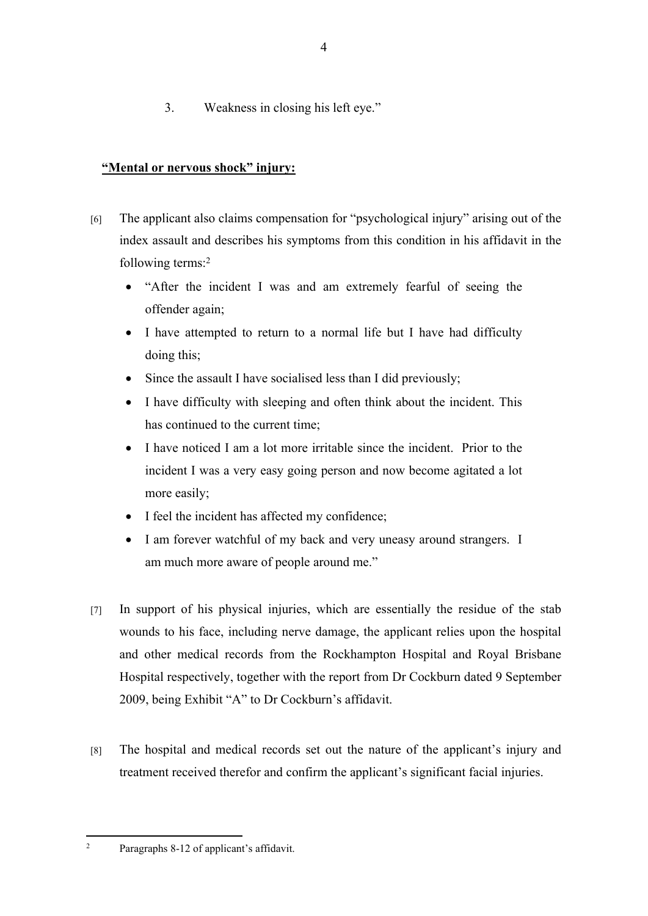3. Weakness in closing his left eye."

# **"Mental or nervous shock" injury:**

- [6] The applicant also claims compensation for "psychological injury" arising out of the index assault and describes his symptoms from this condition in his affidavit in the following terms:<sup>2</sup>
	- "After the incident I was and am extremely fearful of seeing the offender again;
	- I have attempted to return to a normal life but I have had difficulty doing this;
	- Since the assault I have socialised less than I did previously;
	- I have difficulty with sleeping and often think about the incident. This has continued to the current time;
	- I have noticed I am a lot more irritable since the incident. Prior to the incident I was a very easy going person and now become agitated a lot more easily;
	- I feel the incident has affected my confidence;
	- I am forever watchful of my back and very uneasy around strangers. I am much more aware of people around me."
- [7] In support of his physical injuries, which are essentially the residue of the stab wounds to his face, including nerve damage, the applicant relies upon the hospital and other medical records from the Rockhampton Hospital and Royal Brisbane Hospital respectively, together with the report from Dr Cockburn dated 9 September 2009, being Exhibit "A" to Dr Cockburn's affidavit.
- [8] The hospital and medical records set out the nature of the applicant's injury and treatment received therefor and confirm the applicant's significant facial injuries.

2

Paragraphs 8-12 of applicant's affidavit.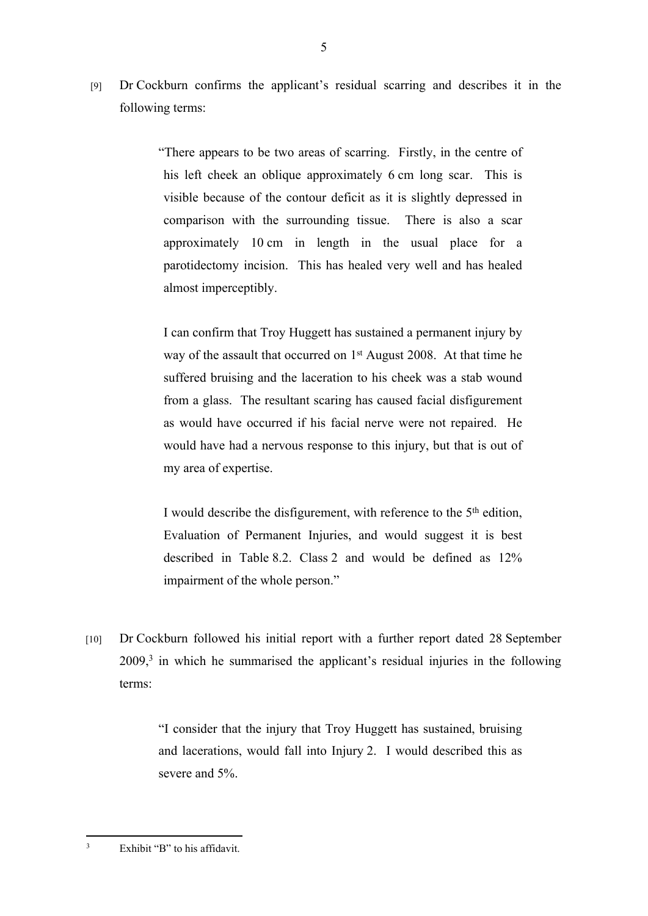[9] Dr Cockburn confirms the applicant's residual scarring and describes it in the following terms:

> "There appears to be two areas of scarring. Firstly, in the centre of his left cheek an oblique approximately 6 cm long scar. This is visible because of the contour deficit as it is slightly depressed in comparison with the surrounding tissue. There is also a scar approximately 10 cm in length in the usual place for a parotidectomy incision. This has healed very well and has healed almost imperceptibly.

I can confirm that Troy Huggett has sustained a permanent injury by way of the assault that occurred on 1<sup>st</sup> August 2008. At that time he suffered bruising and the laceration to his cheek was a stab wound from a glass. The resultant scaring has caused facial disfigurement as would have occurred if his facial nerve were not repaired. He would have had a nervous response to this injury, but that is out of my area of expertise.

I would describe the disfigurement, with reference to the 5<sup>th</sup> edition, Evaluation of Permanent Injuries, and would suggest it is best described in Table 8.2. Class 2 and would be defined as 12% impairment of the whole person."

[10] Dr Cockburn followed his initial report with a further report dated 28 September 2009,<sup>3</sup> in which he summarised the applicant's residual injuries in the following terms:

> "I consider that the injury that Troy Huggett has sustained, bruising and lacerations, would fall into Injury 2. I would described this as severe and 5%.

<sup>3</sup> Exhibit "B" to his affidavit.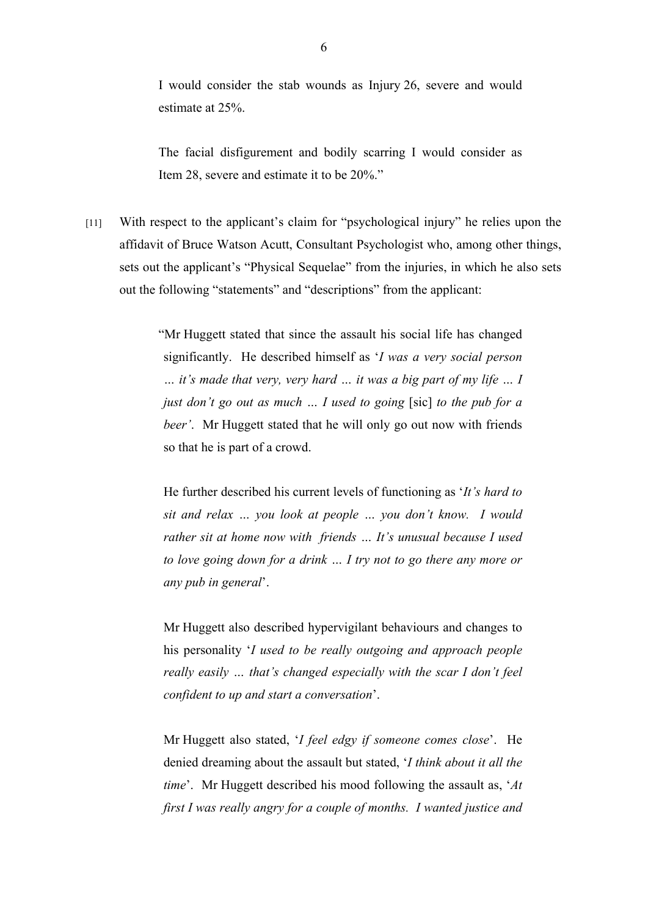I would consider the stab wounds as Injury 26, severe and would estimate at 25%.

The facial disfigurement and bodily scarring I would consider as Item 28, severe and estimate it to be 20%."

[11] With respect to the applicant's claim for "psychological injury" he relies upon the affidavit of Bruce Watson Acutt, Consultant Psychologist who, among other things, sets out the applicant's "Physical Sequelae" from the injuries, in which he also sets out the following "statements" and "descriptions" from the applicant:

> "Mr Huggett stated that since the assault his social life has changed significantly. He described himself as '*I was a very social person … it's made that very, very hard … it was a big part of my life … I just don't go out as much … I used to going* [sic] *to the pub for a beer'.* Mr Huggett stated that he will only go out now with friends so that he is part of a crowd.

He further described his current levels of functioning as '*It's hard to sit and relax … you look at people … you don't know. I would rather sit at home now with friends … It's unusual because I used to love going down for a drink … I try not to go there any more or any pub in general*'.

Mr Huggett also described hypervigilant behaviours and changes to his personality '*I used to be really outgoing and approach people really easily … that's changed especially with the scar I don't feel confident to up and start a conversation*'.

Mr Huggett also stated, '*I feel edgy if someone comes close*'. He denied dreaming about the assault but stated, '*I think about it all the time*'. Mr Huggett described his mood following the assault as, '*At first I was really angry for a couple of months. I wanted justice and*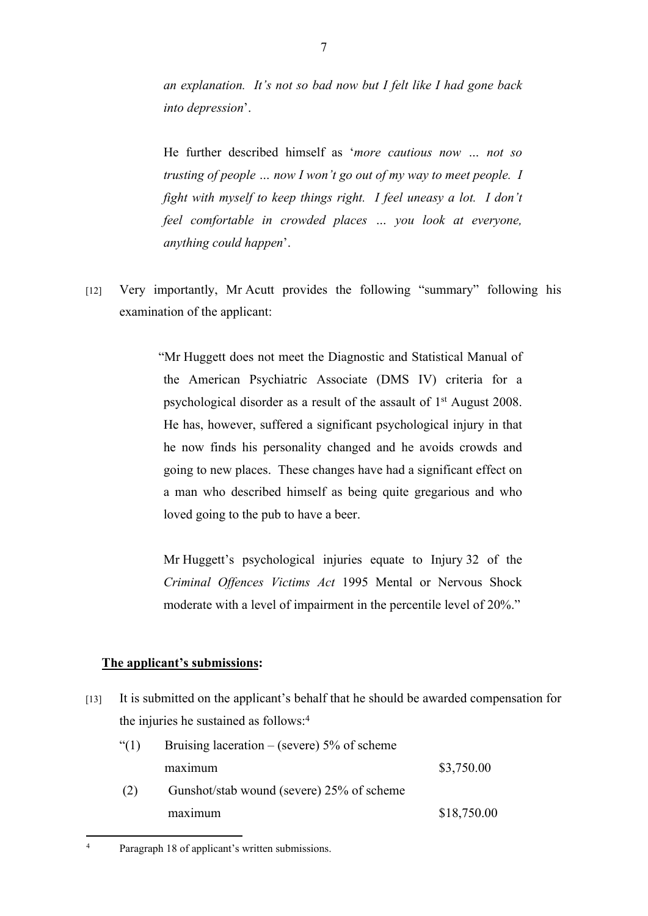*an explanation. It's not so bad now but I felt like I had gone back into depression*'.

He further described himself as '*more cautious now … not so trusting of people … now I won't go out of my way to meet people. I fight with myself to keep things right. I feel uneasy a lot. I don't feel comfortable in crowded places … you look at everyone, anything could happen*'.

[12] Very importantly, Mr Acutt provides the following "summary" following his examination of the applicant:

> "Mr Huggett does not meet the Diagnostic and Statistical Manual of the American Psychiatric Associate (DMS IV) criteria for a psychological disorder as a result of the assault of 1st August 2008. He has, however, suffered a significant psychological injury in that he now finds his personality changed and he avoids crowds and going to new places. These changes have had a significant effect on a man who described himself as being quite gregarious and who loved going to the pub to have a beer.

Mr Huggett's psychological injuries equate to Injury 32 of the *Criminal Offences Victims Act* 1995 Mental or Nervous Shock moderate with a level of impairment in the percentile level of 20%."

# **The applicant's submissions:**

[13] It is submitted on the applicant's behalf that he should be awarded compensation for the injuries he sustained as follows:<sup>4</sup>

| (1) | Bruising laceration – (severe) $5\%$ of scheme |             |
|-----|------------------------------------------------|-------------|
|     | maximum                                        | \$3,750.00  |
| (2) | Gunshot/stab wound (severe) 25% of scheme      |             |
|     | maximum                                        | \$18,750.00 |

Paragraph 18 of applicant's written submissions.

4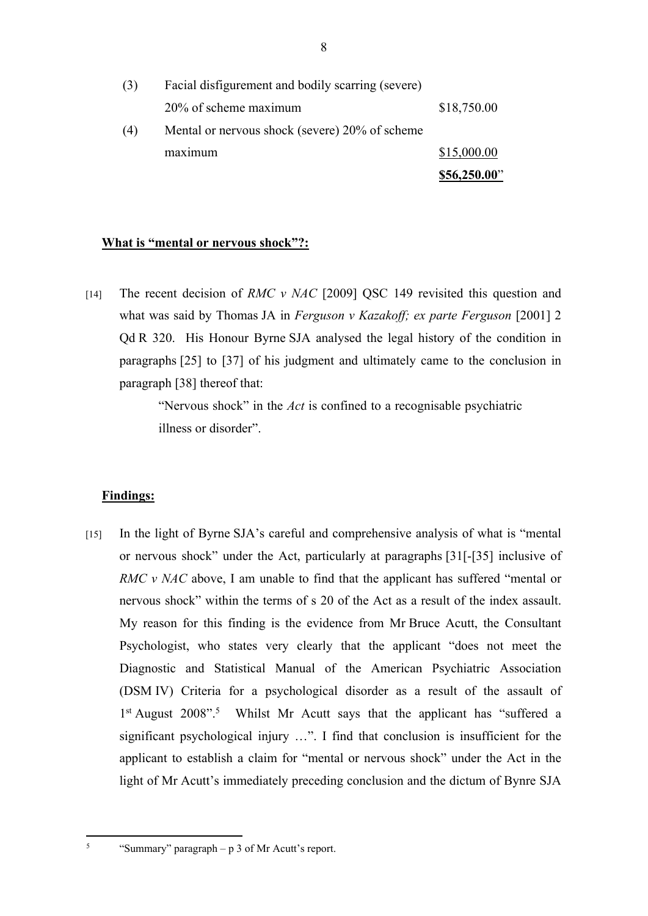|     |                                                   | \$56,250.00" |
|-----|---------------------------------------------------|--------------|
|     | maximum                                           | \$15,000.00  |
| (4) | Mental or nervous shock (severe) 20% of scheme    |              |
|     | 20% of scheme maximum                             | \$18,750.00  |
| (3) | Facial disfigurement and bodily scarring (severe) |              |

#### **What is "mental or nervous shock"?:**

[14] The recent decision of *RMC v NAC* [2009] QSC 149 revisited this question and what was said by Thomas JA in *Ferguson v Kazakoff; ex parte Ferguson* [2001] 2 Qd R 320. His Honour Byrne SJA analysed the legal history of the condition in paragraphs [25] to [37] of his judgment and ultimately came to the conclusion in paragraph [38] thereof that:

> "Nervous shock" in the *Act* is confined to a recognisable psychiatric illness or disorder".

#### **Findings:**

5

[15] In the light of Byrne SJA's careful and comprehensive analysis of what is "mental or nervous shock" under the Act, particularly at paragraphs [31[-[35] inclusive of *RMC v NAC* above, I am unable to find that the applicant has suffered "mental or nervous shock" within the terms of s 20 of the Act as a result of the index assault. My reason for this finding is the evidence from Mr Bruce Acutt, the Consultant Psychologist, who states very clearly that the applicant "does not meet the Diagnostic and Statistical Manual of the American Psychiatric Association (DSM IV) Criteria for a psychological disorder as a result of the assault of 1<sup>st</sup> August 2008".<sup>5</sup> Whilst Mr Acutt says that the applicant has "suffered a significant psychological injury …". I find that conclusion is insufficient for the applicant to establish a claim for "mental or nervous shock" under the Act in the light of Mr Acutt's immediately preceding conclusion and the dictum of Bynre SJA

"Summary" paragraph – p 3 of Mr Acutt's report.

8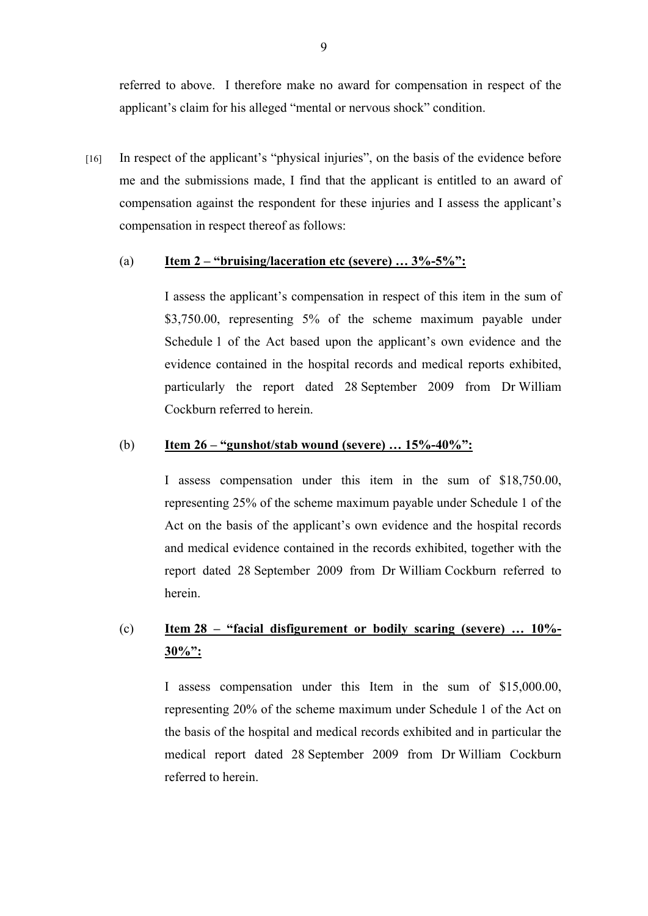referred to above. I therefore make no award for compensation in respect of the applicant's claim for his alleged "mental or nervous shock" condition.

[16] In respect of the applicant's "physical injuries", on the basis of the evidence before me and the submissions made, I find that the applicant is entitled to an award of compensation against the respondent for these injuries and I assess the applicant's compensation in respect thereof as follows:

#### (a) **Item 2 – "bruising/laceration etc (severe) … 3%-5%":**

I assess the applicant's compensation in respect of this item in the sum of \$3,750.00, representing 5% of the scheme maximum payable under Schedule 1 of the Act based upon the applicant's own evidence and the evidence contained in the hospital records and medical reports exhibited, particularly the report dated 28 September 2009 from Dr William Cockburn referred to herein.

#### (b) **Item 26 – "gunshot/stab wound (severe) … 15%-40%":**

I assess compensation under this item in the sum of \$18,750.00, representing 25% of the scheme maximum payable under Schedule 1 of the Act on the basis of the applicant's own evidence and the hospital records and medical evidence contained in the records exhibited, together with the report dated 28 September 2009 from Dr William Cockburn referred to herein.

# (c) **Item 28 – "facial disfigurement or bodily scaring (severe) … 10%- 30%":**

I assess compensation under this Item in the sum of \$15,000.00, representing 20% of the scheme maximum under Schedule 1 of the Act on the basis of the hospital and medical records exhibited and in particular the medical report dated 28 September 2009 from Dr William Cockburn referred to herein.